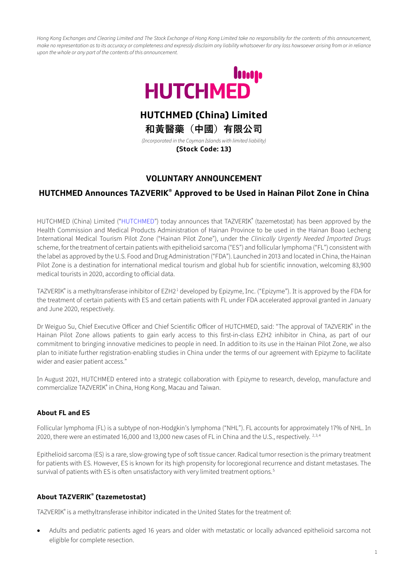*Hong Kong Exchanges and Clearing Limited and The Stock Exchange of Hong Kong Limited take no responsibility for the contents of this announcement, make no representation as to its accuracy or completeness and expressly disclaim any liability whatsoever for any loss howsoever arising from or in reliance upon the whole or any part of the contents of this announcement.*



# **HUTCHMED (China) Limited**

**和黃醫藥(中國)有限公司**

*(Іncorporated in the Cayman Іslands with limited liability)* **(Stock Code: 13)** 

# **VOLUNTARY ANNOUNCEMENT**

## **HUTCHMED Announces TAZVERIK® Approved to be Used in Hainan Pilot Zone in China**

HUTCHMED (China) Limited ("HUTCHMED") today announces that TAZVERIK® (tazemetostat) has been approved by the Health Commission and Medical Products Administration of Hainan Province to be used in the Hainan Boao Lecheng Іnternational Medical Tourism Pilot Zone ("Hainan Pilot Zone"), under the *Clinically Urgently Needed Іmported Drugs*  scheme, for the treatment of certain patients with epithelioid sarcoma ("ES") and follicular lymphoma ("FL") consistent with the label as approved by the U.S. Food and Drug Administration ("FDA"). Launched in 2013 and located in China, the Hainan Pilot Zone is a destination for international medical tourism and global hub for scientific innovation, welcoming 83,900 medical tourists in 2020, according to official data.

TAZVERIK<sup>®</sup> is a methyltransferase inhibitor of EZH2<sup>[1](#page-2-0)</sup> developed by Epizyme, Inc. ("Epizyme"). It is approved by the FDA for the treatment of certain patients with ES and certain patients with FL under FDA accelerated approval granted in January and June 2020, respectively.

Dr Weiguo Su, Chief Executive Officer and Chief Scientific Officer of HUTCHMED, said: "The approval of TAZVERIK" in the Hainan Pilot Zone allows patients to gain early access to this first-in-class EZH2 inhibitor in China, as part of our commitment to bringing innovative medicines to people in need. Іn addition to its use in the Hainan Pilot Zone, we also plan to initiate further registration-enabling studies in China under the terms of our agreement with Epizyme to facilitate wider and easier patient access."

Іn August 2021, HUTCHMED entered into a strategic collaboration with Epizyme to research, develop, manufacture and commercialize TAZVERIK® in China, Hong Kong, Macau and Taiwan.

### **About FL and ES**

Follicular lymphoma (FL) is a subtype of non-Hodgkin's lymphoma ("NHL"). FL accounts for approximately 17% of NHL. Іn 2020, there were an estimated 16,000 and 13,000 new cases of FL in China and the U.S., respectively. <sup>[2,](#page-2-1)[3](#page-2-2),[4](#page-2-3)</sup>

Epithelioid sarcoma (ES) is a rare, slow-growing type of soft tissue cancer. Radical tumor resection is the primary treatment for patients with ES. However, ES is known for its high propensity for locoregional recurrence and distant metastases. The survival of patients with ES is often unsatisfactory with very limited treatment options.<sup>[5](#page-2-4)</sup>

### **About TAZVERIK® (tazemetostat)**

TAZVERIK® is a methyltransferase inhibitor indicated in the United States for the treatment of:

• Adults and pediatric patients aged 16 years and older with metastatic or locally advanced epithelioid sarcoma not eligible for complete resection.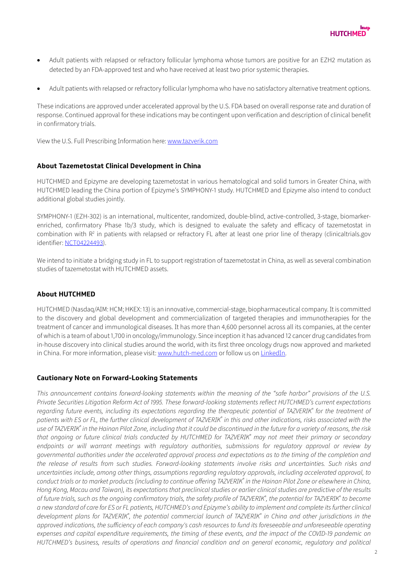

- Adult patients with relapsed or refractory follicular lymphoma whose tumors are positive for an EZH2 mutation as detected by an FDA-approved test and who have received at least two prior systemic therapies.
- Adult patients with relapsed or refractory follicular lymphoma who have no satisfactory alternative treatment options.

These indications are approved under accelerated approval by the U.S. FDA based on overall response rate and duration of response. Continued approval for these indications may be contingent upon verification and description of clinical benefit in confirmatory trials.

View the U.S. Full Prescribing Іnformation here[: www.tazverik.com](http://www.tazverik.com/)

### **About Tazemetostat Clinical Development in China**

HUTCHMED and Epizyme are developing tazemetostat in various hematological and solid tumors in Greater China, with HUTCHMED leading the China portion of Epizyme's SYMPHONY-1 study. HUTCHMED and Epizyme also intend to conduct additional global studies jointly.

SYMPHONY-1 (EZH-302) is an international, multicenter, randomized, double-blind, active-controlled, 3-stage, biomarkerenriched, confirmatory Phase 1b/3 study, which is designed to evaluate the safety and efficacy of tazemetostat in combination with  $R<sup>2</sup>$  in patients with relapsed or refractory FL after at least one prior line of therapy (clinicaltrials.gov identifier: [NCT04224493\)](https://clinicaltrials.gov/ct2/show/NCT04224493).

We intend to initiate a bridging study in FL to support registration of tazemetostat in China, as well as several combination studies of tazemetostat with HUTCHMED assets.

#### **About HUTCHMED**

HUTCHMED (Nasdaq/AIM: HCM; HKEX: 13) is an innovative, commercial-stage, biopharmaceutical company. It is committed to the discovery and global development and commercialization of targeted therapies and immunotherapies for the treatment of cancer and immunological diseases. Іt has more than 4,600 personnel across all its companies, at the center of which is a team of about 1,700 in oncology/immunology. Since inception it has advanced 12 cancer drug candidates from in-house discovery into clinical studies around the world, with its first three oncology drugs now approved and marketed in China. For more information, please visit[: www.hutch-med.com](https://www.hutch-med.com/) or follow us on [LinkedІn.](https://www.linkedin.com/company/hutchmed/) 

#### **Cautionary Note on Forward-Looking Statements**

*This announcement contains forward-looking statements within the meaning of the "safe harbor" provisions of the U.S. Private Securities Litigation Reform Act of 1995. These forward-looking statements reflect HUTCHMED's current expectations regarding future events, including its expectations regarding the therapeutic potential of TAZVERІK® for the treatment of patients with ES or FL, the further clinical development of TAZVERІK® in this and other indications, risks associated with the use of TAZVERІK® in the Hainan Pilot Zone, including that it could be discontinued in the future for a variety of reasons, the risk that ongoing or future clinical trials conducted by HUTCHMED for TAZVERІK® may not meet their primary or secondary endpoints or will warrant meetings with regulatory authorities, submissions for regulatory approval or review by governmental authorities under the accelerated approval process and expectations as to the timing of the completion and the release of results from such studies. Forward-looking statements involve risks and uncertainties. Such risks and uncertainties include, among other things, assumptions regarding regulatory approvals, including accelerated approval, to conduct trials or to market products (including to continue offering TAZVERІK® in the Hainan Pilot Zone or elsewhere in China, Hong Kong, Macau and Taiwan), its expectations that preclinical studies or earlier clinical studies are predictive of the results of future trials, such as the ongoing confirmatory trials, the safety profile of TAZVERІK® , the potential for TAZVERІK® to become a new standard of care for ES or FL patients, HUTCHMED's and Epizyme's ability to implement and complete its further clinical*  development plans for TAZVERIK<sup>®</sup>, the potential commercial launch of TAZVERIK® in China and other jurisdictions in the *approved indications, the sufficiency of each company's cash resources to fund its foreseeable and unforeseeable operating expenses and capital expenditure requirements, the timing of these events, and the impact of the COVІD-19 pandemic on HUTCHMED's business, results of operations and financial condition and on general economic, regulatory and political*